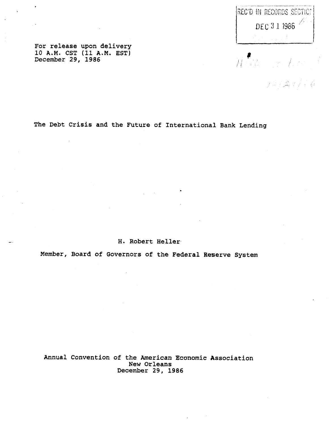REC'D IN RECORDS SECTIO? DEC 3 1 1386

Winds

 $121216$ 

**For release upon delivery 10 A.M. CST (11 A.M. EST) December 29, 1986**

**The Debt Crisis and the Future of International Bank Lending**

**H. Robert Heller**

**Member, Board of Governors of the Federal Reserve System**

**Annual Convention of the American Economic Association New Orleans December 29, 1986**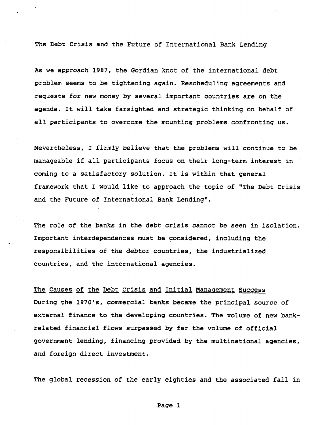**The Debt Crisis and the Future of International Bank Lending**

**As we approach 1987, the Gordian knot of the international debt problem seems to be tightening again. Rescheduling agreements and requests for new money by several important countries are on the agenda. It will take farsighted and strategic thinking on behalf of all participants to overcome the mounting problems confronting us.**

**Nevertheless, I firmly believe that the problems will continue to be manageable if all participants focus on their long-term interest in coming to a satisfactory solution. It is within that general framework that I would like to approach the topic of "The Debt Crisis and the Future of International Bank Lending".**

**The role of the banks in the debt crisis cannot be seen in isolation. Important interdependences must be considered, including the responsibilities of the debtor countries, the industrialized countries, and the international agencies.**

**The Causes of the Debt Crisis and Initial Management Success During the 1970's, commercial banks became the principal source of external finance to the developing countries. The volume of new bankrelated financial flows surpassed by far the volume of official government lending, financing provided by the multinational agencies, and foreign direct investment.**

**The global recession of the early eighties and the associated fall in**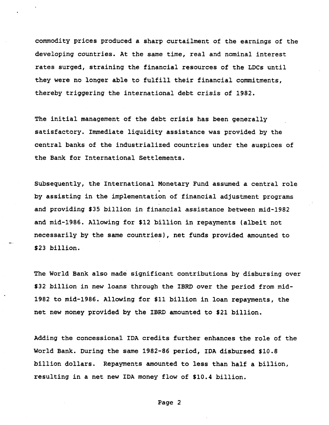**commodity prices produced a sharp curtailment of the earnings of the developing countries. At the same time, real and nominal interest rates surged, straining the financial resources of the LDCs until they were no longer able to fulfill their financial commitments, thereby triggering the international debt crisis of 1982.**

**The initial management of the debt crisis has been generally satisfactory. Immediate liquidity assistance was provided by the central banks of the industrialized countries under the auspices of the Bank for International Settlements.**

**Subsequently, the International Monetary Fund assumed a central role by assisting in the implementation of financial adjustment programs and providing \$35 billion in financial assistance between mid-1982 and mid-1986. Allowing for \$12 billion in repayments (albeit not necessarily by the same countries), net funds provided amounted to \$23 billion.**

**The World Bank also made significant contributions by disbursing over \$32 billion in new loans through the IBRD over the period from mid-1982 to mid-1986. Allowing for \$11 billion in loan repayments, the net new money provided by the IBRD amounted to \$21 billion.**

**Adding the concessional IDA credits further enhances the role of the World Bank. During the same 1982-86 period, IDA disbursed \$10.8 billion dollars. Repayments amounted to less than half a billion, resulting in a net new IDA money flow of \$10.4 billion.**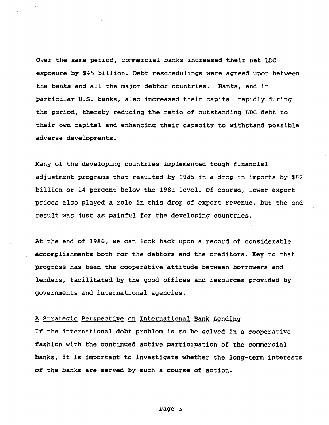**Over the same period, commercial banks increased their net LDC exposure by \$45 billion. Debt reschedulings were agreed upon between the banks and all the major debtor countries. Banks, and in particular U.S. banks, also increased their capital rapidly during the period, thereby reducing the ratio of outstanding LDC debt to their own capital and enhancing their capacity to withstand possible adverse developments.**

**Many of the developing countries implemented tough financial adjustment programs that resulted by 1985 in a drop in imports by \$82 billion or 14 percent below the 1981 level. Of course, lower export prices also played a role in this drop of export revenue, but the end result was just as painful for the developing countries.**

**At the end of 1986, we can look back upon a record of considerable accomplishments both for the debtors and the creditors. Key to that progress has been the cooperative attitude between borrowers and lenders, facilitated by the good offices and resources provided by governments and international agencies.**

## **A Strategic Perspective on International Bank Lending**

**If the international debt problem is to be solved in a cooperative fashion with the continued active participation of the commercial banks, it is important to investigate whether the long-term interests of the banks are served by such a course of action.**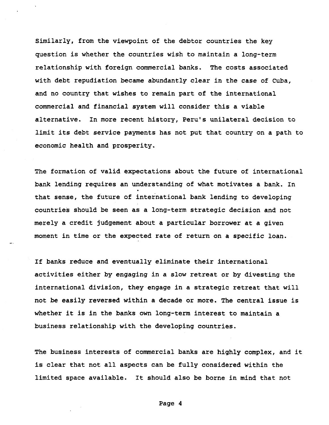**Similarly, from the viewpoint of the debtor countries the key question is whether the countries wish to maintain a long-term relationship with foreign commercial banks. The costs associated with debt repudiation became abundantly clear in the case of Cuba, and no country that wishes to remain part of the international commercial and financial system will consider this a viable alternative. In more recent history, Peru's unilateral decision to limit its debt service payments has not put that country on a path to economic health and prosperity.**

**The formation of valid expectations about the future of international bank lending requires an understanding of what motivates a bank. In that sense, the future of international bank lending to developing countries should be seen as a long-term strategic decision and not merely a credit judgement about a particular borrower at a given moment in time or the expected rate of return on a specific loan.**

**If banks reduce and eventually eliminate their international activities either by engaging in a slow retreat or by divesting the international division, they engage in a strategic retreat that will not be easily reversed within a decade or more. The central issue is whether it is in the banks own long-term interest to maintain a business relationship with the developing countries.**

**The business interests of commercial banks are highly complex, and it is clear that not all aspects can be fully considered within the limited space available. It should also be borne in mind that not**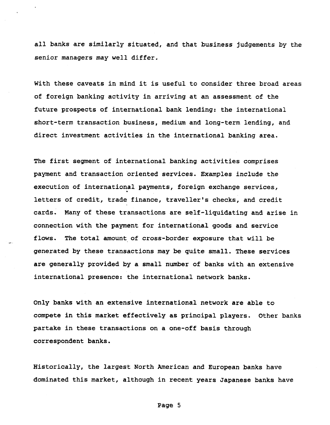**all banks are similarly situated, and that business judgements by the senior managers may well differ.**

**With these caveats in mind it is useful to consider three broad areas of foreign banking activity in arriving at an assessment of the future prospects of international bank lending: the international short-term transaction business, medium and long-term lending, and direct investment activities in the international banking area.**

**The first segment of international banking activities comprises payment and transaction oriented services. Examples include the execution of international payments, foreign exchange services, letters of credit, trade finance, traveller's checks, and credit cards. Many of these transactions are self-liquidating and arise in connection with the payment for international goods and service flows. The total amount of cross-border exposure that will be generated by these transactions may be quite small. These services are generally provided by a small number of banks with an extensive international presence: the international network banks.**

**Only banks with an extensive international network are able to compete in this market effectively as principal players. Other banks partake in these transactions on a one-off basis through correspondent banks.**

**Historically, the largest North American and European banks have dominated this market, although in recent years Japanese banks have**

**Page 5**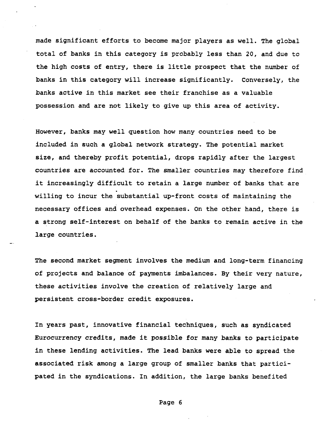**made significant efforts to become major players as well. The global total of banks in this category is probably less than 20, and due to the high costs of entry, there is little prospect that the number of banks in this category will increase significantly. Conversely, the banks active in this market see their franchise as a valuable possession and are not likely to give up this area of activity.**

**However, banks may well question how many countries need to be included in such a global network strategy. The potential market size, and thereby profit potential, drops rapidly after the largest countries are accounted for. The smaller countries may therefore find it increasingly difficult to retain a large number of banks that are willing to incur the substantial up-front costs of maintaining the necessary offices and overhead expenses. On the other hand, there is a strong self-interest on behalf of the banks to remain active in the large countries.**

**The second market segment involves the medium and long-term financing of projects and balance of payments imbalances. By their very nature, these activities involve the creation of relatively large and persistent cross-border credit exposures.**

**In years past, innovative financial techniques, such as syndicated Eurocurrency credits, made it possible for many banks to participate in these lending activities. The lead banks were able to spread the associated risk among a large group of smaller banks that participated in the syndications. In addition, the large banks benefited**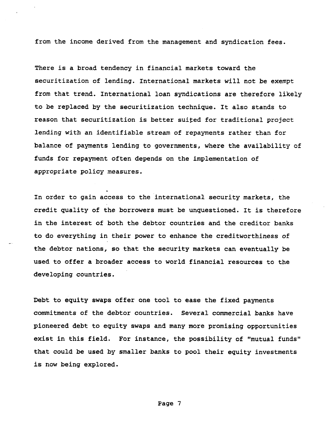**from the income derived from the management and syndication fees.**

**There is a broad tendency in financial markets toward the securitization of lending. International markets will not be exempt from that trend. International loan syndications are therefore likely to be replaced by the securitization technique. It also stands to reason that securitization is better suited for traditional project lending with an identifiable stream of repayments rather than for balance of payments lending to governments, where the availability of funds for repayment often depends on the implementation of appropriate policy measures.**

**In order to gain access to the international security markets, the credit quality of the borrowers must be unquestioned. It is therefore in the interest of both the debtor countries and the creditor banks to do everything in their power to enhance the creditworthiness of the debtor nations, so that the security markets can eventually be used to offer a broader access to world financial resources to the developing countries.**

**Debt to equity swaps offer one tool to ease the fixed payments commitments of the debtor countries. Several commercial banks have pioneered debt to equity swaps and many more promising opportunities exist in this field. For instance, the possibility of "mutual funds" that could be used by smaller banks to pool their equity investments is now being explored.**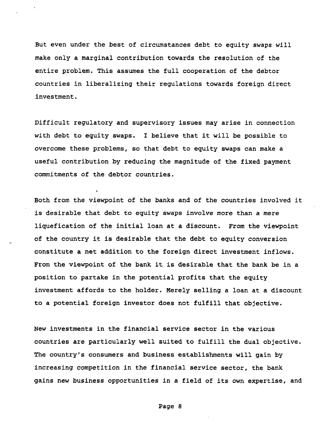**But even under the best of circumstances debt to equity swaps will make only a marginal contribution towards the resolution of the entire problem. This assumes the full cooperation of the debtor countries in liberalizing their regulations towards foreign direct investment.**

**Difficult regulatory and supervisory issues may arise in connection with debt to equity swaps. I believe that it will be possible to overcome these problems, so that debt to equity swaps can make a useful contribution by reducing the magnitude of the fixed payment commitments of the debtor countries.**

**Both from the viewpoint of the banks and of the countries involved it is desirable that debt to equity swaps involve more than a mere liquefication of the initial loan at a discount. From the viewpoint of the country it is desirable that the debt to equity conversion constitute a net addition to the foreign direct investment inflows. From the viewpoint of the bank it is desirable that the bank be in a position to partake in the potential profits that the equity investment affords to the holder. Merely selling a loan at a discount to a potential foreign investor does not fulfill that objective.**

**New investments in the financial service sector in the various countries are particularly well suited to fulfill the dual objective. The country's consumers and business establishments will gain by increasing competition in the financial service sector, the bank gains new business opportunities in a field of its own expertise, and**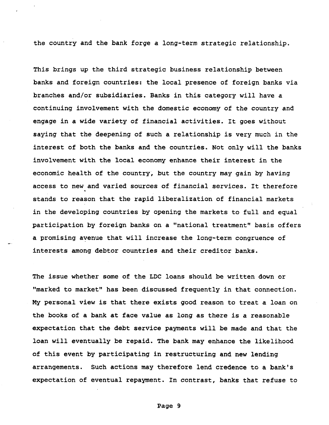**the country and the bank forge a long-term strategic relationship.**

**This brings up the third strategic business relationship between banks and foreign countries: the local presence of foreign banks via branches and/or subsidiaries. Banks in this category will have a continuing involvement with the domestic economy of the country and engage in a wide variety of financial activities. It goes without saying that the deepening of such a relationship is very much in the interest of both the banks and the countries. Not only will the banks involvement with the local economy enhance their interest in the economic health of the country, but the country may gain by having access to new and varied sources of financial services. It therefore stands to reason that the rapid liberalization of financial markets in the developing countries by opening the markets to full and equal participation by foreign banks on a "national treatment" basis offers a promising avenue that will increase the long-term congruence of interests among debtor countries and their creditor banks.**

**The issue whether some of the LDC loans should be written down or "marked to market" has been discussed frequently in that connection. My personal view is that there exists good reason to treat a loan on the books of a bank at face value as long as there is a reasonable expectation that the debt service payments will be made and that the loan will eventually be repaid. The bank may enhance the likelihood of this event by participating in restructuring and new lending arrangements. Such actions may therefore lend credence to a bank's expectation of eventual repayment. In contrast, banks that refuse to**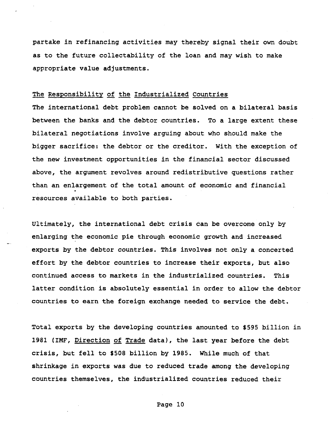**partake in refinancing activities may thereby signal their own doubt as to the future collectability of the loan and may wish to make appropriate value adjustments.**

## **The Responsibility of the Industrialized Countries**

**The international debt problem cannot be solved on a bilateral basis between the banks and the debtor countries. To a large extent these bilateral negotiations involve arguing about who should make the bigger sacrifice: the debtor or the creditor. With the exception of the new investment opportunities in the financial sector discussed above, the argument revolves around redistributive questions rather than an enlargement of the total amount of economic and financial resources available to both parties.**

**Ultimately, the international debt crisis can be overcome only by enlarging the economic pie through economic growth and increased exports by the debtor countries. This involves not only a concerted effort by the debtor countries to increase their exports, but also continued access to markets in the industrialized countries. This latter condition is absolutely essential in order to allow the debtor countries to earn the foreign exchange needed to service the debt.**

**Total exports by the developing countries amounted to \$595 billion in 1981 (IMF, Direction of Trade data), the last year before the debt crisis, but fell to \$508 billion by 1985. While much of that shrinkage in exports was due to reduced trade among the developing countries themselves, the industrialized countries reduced their**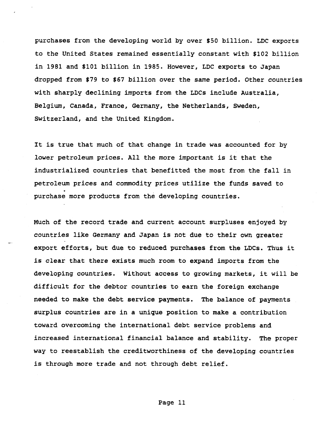**purchases from the developing world by over \$50 billion. LDC exports to the United States remained essentially constant with \$102 billion in 1981 and \$101 billion in 1985. However, LDC exports to Japan dropped from \$79 to \$67 billion over the same period. Other countries with sharply declining imports from the LDCs include Australia, Belgium, Canada, France, Germany, the Netherlands, Sweden, Switzerland, and the United Kingdom.**

**It is true that much of that change in trade was accounted for by lower petroleum prices. All the more important is it that the industrialized countries that benefitted the most from the fall in petroleum prices and commodity prices utilize the funds saved to purchase more products from the developing countries.**

**Much of the record trade and current account surpluses enjoyed by countries like Germany and Japan is not due to their own greater export efforts, but due to reduced purchases from the LDCs. Thus it is clear that there exists much room to expand imports from the developing countries. Without access to growing markets, it will be difficult for the debtor countries to earn the foreign exchange needed to make the debt service payments. The balance of payments surplus countries are in a unique position to make a contribution toward overcoming the international debt service problems and increased international financial balance and stability. The proper way to reestablish the creditworthiness of the developing countries is through more trade and not through debt relief.**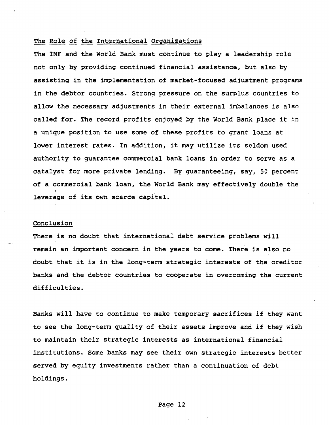## **The Role of the International Organizations**

**The IMF and the World Bank must continue to play a leadership role not only by providing continued financial assistance, but also by assisting in the implementation of market-focused adjustment programs in the debtor countries. Strong pressure on the surplus countries to allow the necessary adjustments in their external imbalances is also called for. The record profits enjoyed by the World Bank place it in a unique position to use some of these profits to grant loans at lower interest rates. In addition, it may utilize its seldom used authority to guarantee commercial bank loans in order to serve as a catalyst for more private lending. By guaranteeing, say, 50 percent of a commercial bank loan, the World Bank may effectively double the leverage of its own scarce capital.**

## **Conclusion**

**There is no doubt that international debt service problems will remain an important concern in the years to come. There is also no doubt that it is in the long-term strategic interests of the creditor banks and the debtor countries to cooperate in overcoming the current difficulties.**

**Banks will have to continue to make temporary sacrifices if they want to see the long-term quality of their assets improve and if they wish to maintain their strategic interests as international financial institutions. Some banks may see their own strategic interests better served by equity investments rather than a continuation of debt holdings.**